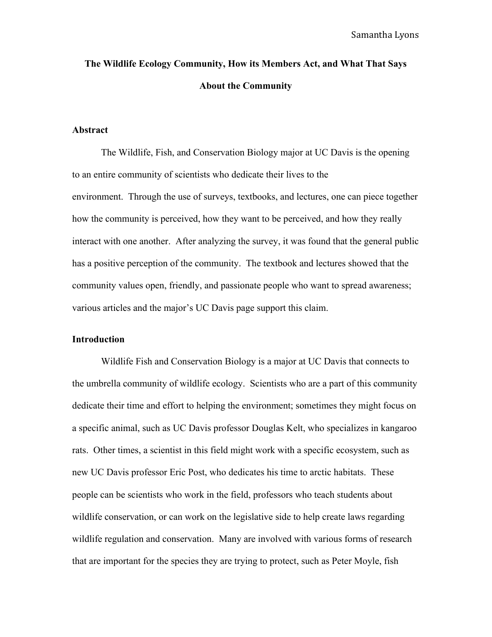# **The Wildlife Ecology Community, How its Members Act, and What That Says About the Community**

## **Abstract**

The Wildlife, Fish, and Conservation Biology major at UC Davis is the opening to an entire community of scientists who dedicate their lives to the environment. Through the use of surveys, textbooks, and lectures, one can piece together how the community is perceived, how they want to be perceived, and how they really interact with one another. After analyzing the survey, it was found that the general public has a positive perception of the community. The textbook and lectures showed that the community values open, friendly, and passionate people who want to spread awareness; various articles and the major's UC Davis page support this claim.

### **Introduction**

Wildlife Fish and Conservation Biology is a major at UC Davis that connects to the umbrella community of wildlife ecology. Scientists who are a part of this community dedicate their time and effort to helping the environment; sometimes they might focus on a specific animal, such as UC Davis professor Douglas Kelt, who specializes in kangaroo rats. Other times, a scientist in this field might work with a specific ecosystem, such as new UC Davis professor Eric Post, who dedicates his time to arctic habitats. These people can be scientists who work in the field, professors who teach students about wildlife conservation, or can work on the legislative side to help create laws regarding wildlife regulation and conservation. Many are involved with various forms of research that are important for the species they are trying to protect, such as Peter Moyle, fish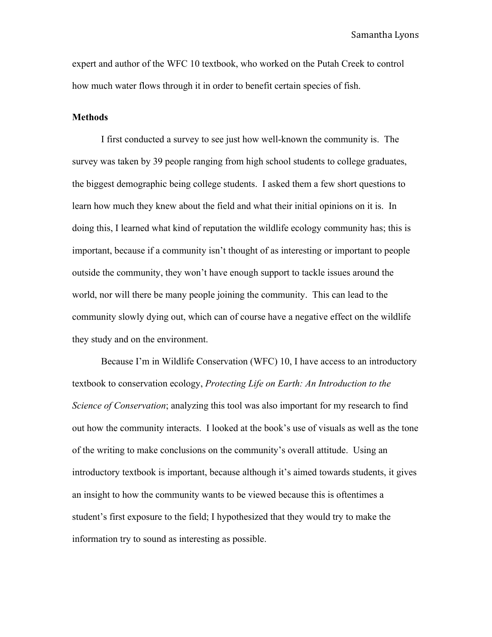Samantha Lyons

expert and author of the WFC 10 textbook, who worked on the Putah Creek to control how much water flows through it in order to benefit certain species of fish.

### **Methods**

I first conducted a survey to see just how well-known the community is. The survey was taken by 39 people ranging from high school students to college graduates, the biggest demographic being college students. I asked them a few short questions to learn how much they knew about the field and what their initial opinions on it is. In doing this, I learned what kind of reputation the wildlife ecology community has; this is important, because if a community isn't thought of as interesting or important to people outside the community, they won't have enough support to tackle issues around the world, nor will there be many people joining the community. This can lead to the community slowly dying out, which can of course have a negative effect on the wildlife they study and on the environment.

Because I'm in Wildlife Conservation (WFC) 10, I have access to an introductory textbook to conservation ecology, *Protecting Life on Earth: An Introduction to the Science of Conservation*; analyzing this tool was also important for my research to find out how the community interacts. I looked at the book's use of visuals as well as the tone of the writing to make conclusions on the community's overall attitude. Using an introductory textbook is important, because although it's aimed towards students, it gives an insight to how the community wants to be viewed because this is oftentimes a student's first exposure to the field; I hypothesized that they would try to make the information try to sound as interesting as possible.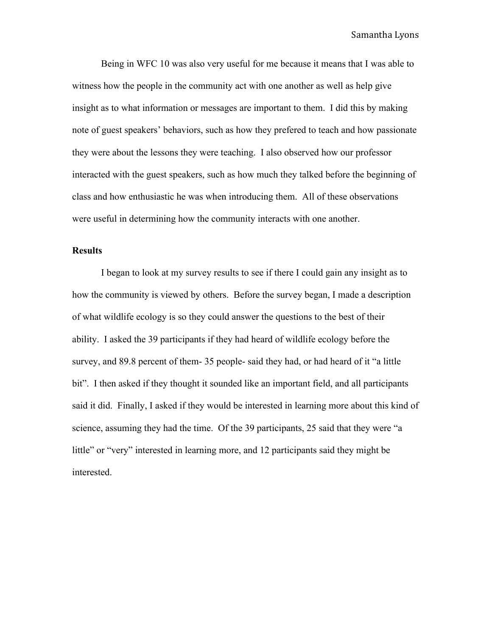Being in WFC 10 was also very useful for me because it means that I was able to witness how the people in the community act with one another as well as help give insight as to what information or messages are important to them. I did this by making note of guest speakers' behaviors, such as how they prefered to teach and how passionate they were about the lessons they were teaching. I also observed how our professor interacted with the guest speakers, such as how much they talked before the beginning of class and how enthusiastic he was when introducing them. All of these observations were useful in determining how the community interacts with one another.

## **Results**

I began to look at my survey results to see if there I could gain any insight as to how the community is viewed by others. Before the survey began, I made a description of what wildlife ecology is so they could answer the questions to the best of their ability. I asked the 39 participants if they had heard of wildlife ecology before the survey, and 89.8 percent of them- 35 people- said they had, or had heard of it "a little bit". I then asked if they thought it sounded like an important field, and all participants said it did. Finally, I asked if they would be interested in learning more about this kind of science, assuming they had the time. Of the 39 participants, 25 said that they were "a little" or "very" interested in learning more, and 12 participants said they might be interested.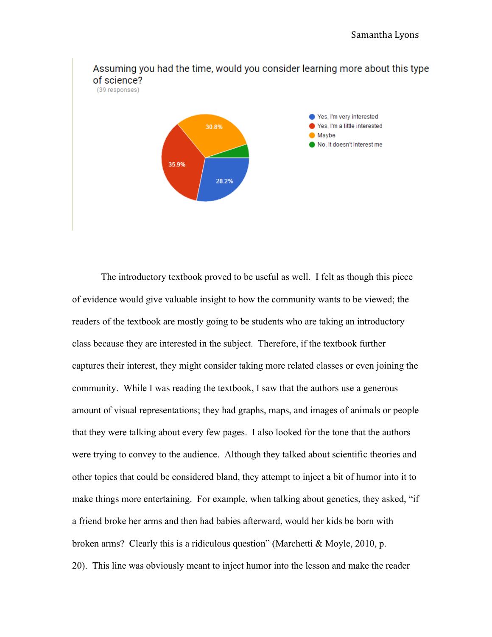

The introductory textbook proved to be useful as well. I felt as though this piece of evidence would give valuable insight to how the community wants to be viewed; the readers of the textbook are mostly going to be students who are taking an introductory class because they are interested in the subject. Therefore, if the textbook further captures their interest, they might consider taking more related classes or even joining the community. While I was reading the textbook, I saw that the authors use a generous amount of visual representations; they had graphs, maps, and images of animals or people that they were talking about every few pages. I also looked for the tone that the authors were trying to convey to the audience. Although they talked about scientific theories and other topics that could be considered bland, they attempt to inject a bit of humor into it to make things more entertaining. For example, when talking about genetics, they asked, "if a friend broke her arms and then had babies afterward, would her kids be born with broken arms? Clearly this is a ridiculous question" (Marchetti & Moyle, 2010, p. 20). This line was obviously meant to inject humor into the lesson and make the reader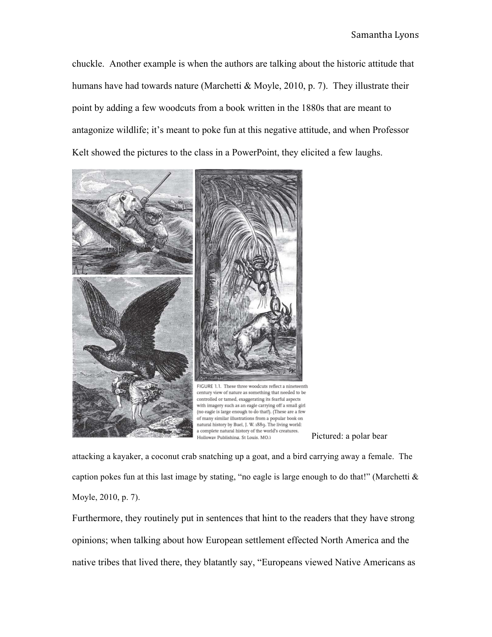chuckle. Another example is when the authors are talking about the historic attitude that humans have had towards nature (Marchetti & Moyle, 2010, p. 7). They illustrate their point by adding a few woodcuts from a book written in the 1880s that are meant to antagonize wildlife; it's meant to poke fun at this negative attitude, and when Professor Kelt showed the pictures to the class in a PowerPoint, they elicited a few laughs.





attacking a kayaker, a coconut crab snatching up a goat, and a bird carrying away a female. The caption pokes fun at this last image by stating, "no eagle is large enough to do that!" (Marchetti  $\&$ Moyle, 2010, p. 7).

Furthermore, they routinely put in sentences that hint to the readers that they have strong opinions; when talking about how European settlement effected North America and the native tribes that lived there, they blatantly say, "Europeans viewed Native Americans as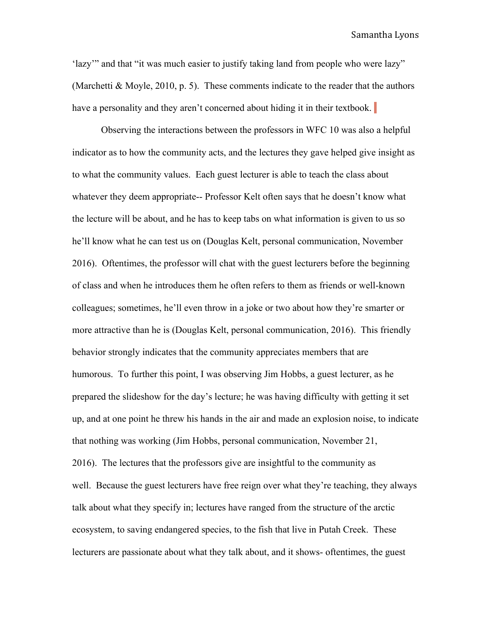'lazy'" and that "it was much easier to justify taking land from people who were lazy" (Marchetti & Moyle, 2010, p. 5). These comments indicate to the reader that the authors have a personality and they aren't concerned about hiding it in their textbook.

Observing the interactions between the professors in WFC 10 was also a helpful indicator as to how the community acts, and the lectures they gave helped give insight as to what the community values. Each guest lecturer is able to teach the class about whatever they deem appropriate-- Professor Kelt often says that he doesn't know what the lecture will be about, and he has to keep tabs on what information is given to us so he'll know what he can test us on (Douglas Kelt, personal communication, November 2016). Oftentimes, the professor will chat with the guest lecturers before the beginning of class and when he introduces them he often refers to them as friends or well-known colleagues; sometimes, he'll even throw in a joke or two about how they're smarter or more attractive than he is (Douglas Kelt, personal communication, 2016). This friendly behavior strongly indicates that the community appreciates members that are humorous. To further this point, I was observing Jim Hobbs, a guest lecturer, as he prepared the slideshow for the day's lecture; he was having difficulty with getting it set up, and at one point he threw his hands in the air and made an explosion noise, to indicate that nothing was working (Jim Hobbs, personal communication, November 21, 2016). The lectures that the professors give are insightful to the community as well. Because the guest lecturers have free reign over what they're teaching, they always talk about what they specify in; lectures have ranged from the structure of the arctic ecosystem, to saving endangered species, to the fish that live in Putah Creek. These lecturers are passionate about what they talk about, and it shows- oftentimes, the guest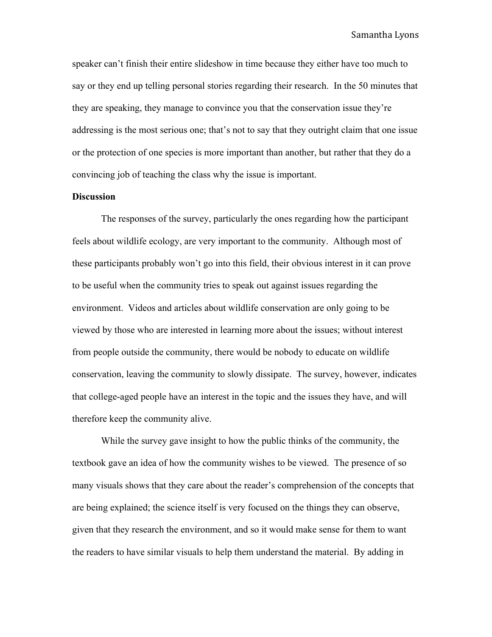speaker can't finish their entire slideshow in time because they either have too much to say or they end up telling personal stories regarding their research. In the 50 minutes that they are speaking, they manage to convince you that the conservation issue they're addressing is the most serious one; that's not to say that they outright claim that one issue or the protection of one species is more important than another, but rather that they do a convincing job of teaching the class why the issue is important.

# **Discussion**

The responses of the survey, particularly the ones regarding how the participant feels about wildlife ecology, are very important to the community. Although most of these participants probably won't go into this field, their obvious interest in it can prove to be useful when the community tries to speak out against issues regarding the environment. Videos and articles about wildlife conservation are only going to be viewed by those who are interested in learning more about the issues; without interest from people outside the community, there would be nobody to educate on wildlife conservation, leaving the community to slowly dissipate. The survey, however, indicates that college-aged people have an interest in the topic and the issues they have, and will therefore keep the community alive.

While the survey gave insight to how the public thinks of the community, the textbook gave an idea of how the community wishes to be viewed. The presence of so many visuals shows that they care about the reader's comprehension of the concepts that are being explained; the science itself is very focused on the things they can observe, given that they research the environment, and so it would make sense for them to want the readers to have similar visuals to help them understand the material. By adding in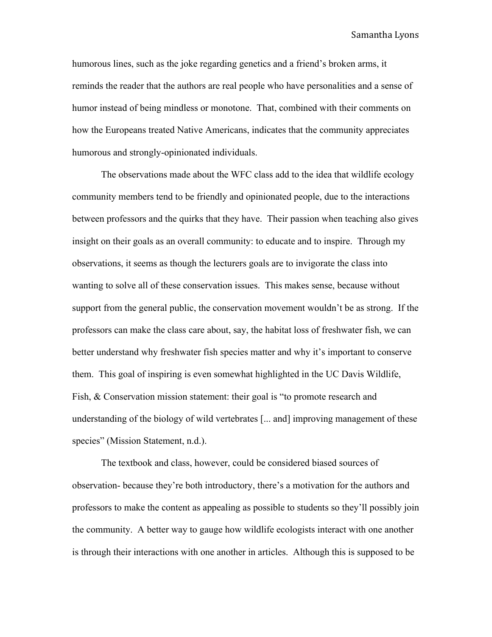Samantha Lyons

humorous lines, such as the joke regarding genetics and a friend's broken arms, it reminds the reader that the authors are real people who have personalities and a sense of humor instead of being mindless or monotone. That, combined with their comments on how the Europeans treated Native Americans, indicates that the community appreciates humorous and strongly-opinionated individuals.

The observations made about the WFC class add to the idea that wildlife ecology community members tend to be friendly and opinionated people, due to the interactions between professors and the quirks that they have. Their passion when teaching also gives insight on their goals as an overall community: to educate and to inspire. Through my observations, it seems as though the lecturers goals are to invigorate the class into wanting to solve all of these conservation issues. This makes sense, because without support from the general public, the conservation movement wouldn't be as strong. If the professors can make the class care about, say, the habitat loss of freshwater fish, we can better understand why freshwater fish species matter and why it's important to conserve them. This goal of inspiring is even somewhat highlighted in the UC Davis Wildlife, Fish, & Conservation mission statement: their goal is "to promote research and understanding of the biology of wild vertebrates [... and] improving management of these species" (Mission Statement, n.d.).

The textbook and class, however, could be considered biased sources of observation- because they're both introductory, there's a motivation for the authors and professors to make the content as appealing as possible to students so they'll possibly join the community. A better way to gauge how wildlife ecologists interact with one another is through their interactions with one another in articles. Although this is supposed to be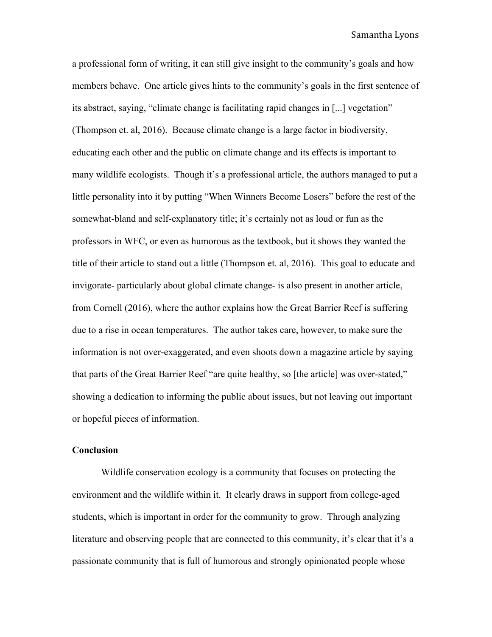#### Samantha Lyons

a professional form of writing, it can still give insight to the community's goals and how members behave. One article gives hints to the community's goals in the first sentence of its abstract, saying, "climate change is facilitating rapid changes in [...] vegetation" (Thompson et. al, 2016). Because climate change is a large factor in biodiversity, educating each other and the public on climate change and its effects is important to many wildlife ecologists. Though it's a professional article, the authors managed to put a little personality into it by putting "When Winners Become Losers" before the rest of the somewhat-bland and self-explanatory title; it's certainly not as loud or fun as the professors in WFC, or even as humorous as the textbook, but it shows they wanted the title of their article to stand out a little (Thompson et. al, 2016). This goal to educate and invigorate- particularly about global climate change- is also present in another article, from Cornell (2016), where the author explains how the Great Barrier Reef is suffering due to a rise in ocean temperatures. The author takes care, however, to make sure the information is not over-exaggerated, and even shoots down a magazine article by saying that parts of the Great Barrier Reef "are quite healthy, so [the article] was over-stated," showing a dedication to informing the public about issues, but not leaving out important or hopeful pieces of information.

## **Conclusion**

Wildlife conservation ecology is a community that focuses on protecting the environment and the wildlife within it. It clearly draws in support from college-aged students, which is important in order for the community to grow. Through analyzing literature and observing people that are connected to this community, it's clear that it's a passionate community that is full of humorous and strongly opinionated people whose